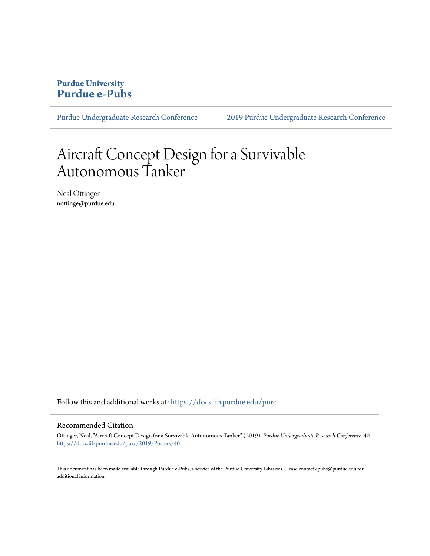#### **Purdue University [Purdue e-Pubs](https://docs.lib.purdue.edu?utm_source=docs.lib.purdue.edu%2Fpurc%2F2019%2FPosters%2F40&utm_medium=PDF&utm_campaign=PDFCoverPages)**

[Purdue Undergraduate Research Conference](https://docs.lib.purdue.edu/purc?utm_source=docs.lib.purdue.edu%2Fpurc%2F2019%2FPosters%2F40&utm_medium=PDF&utm_campaign=PDFCoverPages) [2019 Purdue Undergraduate Research Conference](https://docs.lib.purdue.edu/purc/2019?utm_source=docs.lib.purdue.edu%2Fpurc%2F2019%2FPosters%2F40&utm_medium=PDF&utm_campaign=PDFCoverPages)

### Aircraft Concept Design for a Survivable Autonomous Tanker

Neal Ottinger nottinge@purdue.edu

Follow this and additional works at: [https://docs.lib.purdue.edu/purc](https://docs.lib.purdue.edu/purc?utm_source=docs.lib.purdue.edu%2Fpurc%2F2019%2FPosters%2F40&utm_medium=PDF&utm_campaign=PDFCoverPages)

#### Recommended Citation

Ottinger, Neal, "Aircraft Concept Design for a Survivable Autonomous Tanker" (2019). *Purdue Undergraduate Research Conference*. 40. [https://docs.lib.purdue.edu/purc/2019/Posters/40](https://docs.lib.purdue.edu/purc/2019/Posters/40?utm_source=docs.lib.purdue.edu%2Fpurc%2F2019%2FPosters%2F40&utm_medium=PDF&utm_campaign=PDFCoverPages)

This document has been made available through Purdue e-Pubs, a service of the Purdue University Libraries. Please contact epubs@purdue.edu for additional information.